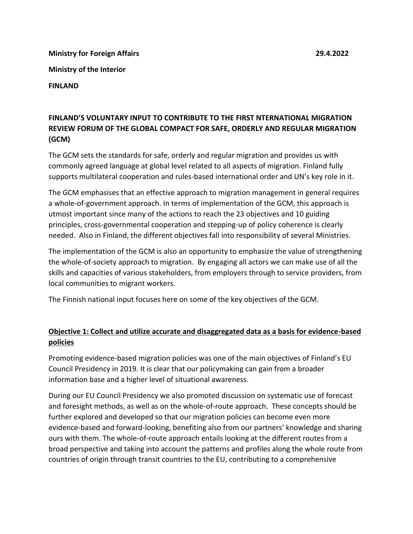**Ministry for Foreign Affairs 29.4.2022 Ministry of the Interior FINLAND**

## **FINLAND'S VOLUNTARY INPUT TO CONTRIBUTE TO THE FIRST NTERNATIONAL MIGRATION REVIEW FORUM OF THE GLOBAL COMPACT FOR SAFE, ORDERLY AND REGULAR MIGRATION (GCM)**

The GCM sets the standards for safe, orderly and regular migration and provides us with commonly agreed language at global level related to all aspects of migration. Finland fully supports multilateral cooperation and rules-based international order and UN's key role in it.

The GCM emphasises that an effective approach to migration management in general requires a whole-of-government approach. In terms of implementation of the GCM, this approach is utmost important since many of the actions to reach the 23 objectives and 10 guiding principles, cross-governmental cooperation and stepping-up of policy coherence is clearly needed. Also in Finland, the different objectives fall into responsibility of several Ministries.

The implementation of the GCM is also an opportunity to emphasize the value of strengthening the whole-of-society approach to migration. By engaging all actors we can make use of all the skills and capacities of various stakeholders, from employers through to service providers, from local communities to migrant workers.

The Finnish national input focuses here on some of the key objectives of the GCM.

## **Objective 1: Collect and utilize accurate and disaggregated data as a basis for evidence-based policies**

Promoting evidence-based migration policies was one of the main objectives of Finland's EU Council Presidency in 2019. It is clear that our policymaking can gain from a broader information base and a higher level of situational awareness.

During our EU Council Presidency we also promoted discussion on systematic use of forecast and foresight methods, as well as on the whole-of-route approach. These concepts should be further explored and developed so that our migration policies can become even more evidence-based and forward-looking, benefiting also from our partners' knowledge and sharing ours with them. The whole-of-route approach entails looking at the different routes from a broad perspective and taking into account the patterns and profiles along the whole route from countries of origin through transit countries to the EU, contributing to a comprehensive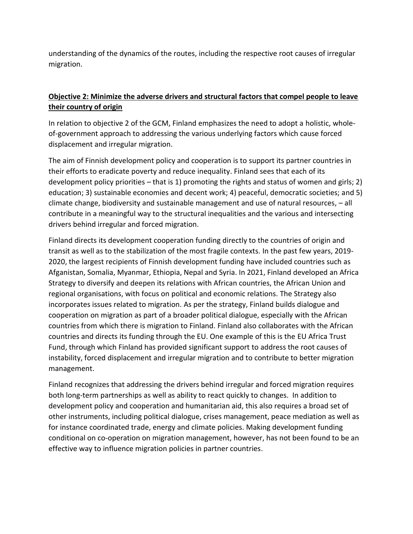understanding of the dynamics of the routes, including the respective root causes of irregular migration.

## **Objective 2: Minimize the adverse drivers and structural factors that compel people to leave their country of origin**

In relation to objective 2 of the GCM, Finland emphasizes the need to adopt a holistic, wholeof-government approach to addressing the various underlying factors which cause forced displacement and irregular migration.

The aim of Finnish development policy and cooperation is to support its partner countries in their efforts to eradicate poverty and reduce inequality. Finland sees that each of its development policy priorities – that is 1) promoting the rights and status of women and girls; 2) education; 3) sustainable economies and decent work; 4) peaceful, democratic societies; and 5) climate change, biodiversity and sustainable management and use of natural resources, – all contribute in a meaningful way to the structural inequalities and the various and intersecting drivers behind irregular and forced migration.

Finland directs its development cooperation funding directly to the countries of origin and transit as well as to the stabilization of the most fragile contexts. In the past few years, 2019- 2020, the largest recipients of Finnish development funding have included countries such as Afganistan, Somalia, Myanmar, Ethiopia, Nepal and Syria. In 2021, Finland developed an Africa Strategy to diversify and deepen its relations with African countries, the African Union and regional organisations, with focus on political and economic relations. The Strategy also incorporates issues related to migration. As per the strategy, Finland builds dialogue and cooperation on migration as part of a broader political dialogue, especially with the African countries from which there is migration to Finland. Finland also collaborates with the African countries and directs its funding through the EU. One example of this is the EU Africa Trust Fund, through which Finland has provided significant support to address the root causes of instability, forced displacement and irregular migration and to contribute to better migration management.

Finland recognizes that addressing the drivers behind irregular and forced migration requires both long-term partnerships as well as ability to react quickly to changes. In addition to development policy and cooperation and humanitarian aid, this also requires a broad set of other instruments, including political dialogue, crises management, peace mediation as well as for instance coordinated trade, energy and climate policies. Making development funding conditional on co-operation on migration management, however, has not been found to be an effective way to influence migration policies in partner countries.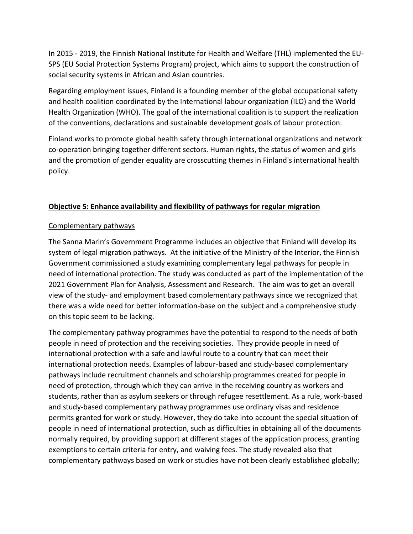In 2015 - 2019, the Finnish National Institute for Health and Welfare (THL) implemented the EU-SPS (EU Social Protection Systems Program) project, which aims to support the construction of social security systems in African and Asian countries.

Regarding employment issues, Finland is a founding member of the global occupational safety and health coalition coordinated by the International labour organization (ILO) and the World Health Organization (WHO). The goal of the international coalition is to support the realization of the conventions, declarations and sustainable development goals of labour protection.

Finland works to promote global health safety through international organizations and network co-operation bringing together different sectors. Human rights, the status of women and girls and the promotion of gender equality are crosscutting themes in Finland's international health policy.

## **Objective 5: Enhance availability and flexibility of pathways for regular migration**

### Complementary pathways

The Sanna Marin's Government Programme includes an objective that Finland will develop its system of legal migration pathways. At the initiative of the Ministry of the Interior, the Finnish Government commissioned a study examining complementary legal pathways for people in need of international protection. The study was conducted as part of the implementation of the 2021 Government Plan for Analysis, Assessment and Research. The aim was to get an overall view of the study- and employment based complementary pathways since we recognized that there was a wide need for better information-base on the subject and a comprehensive study on this topic seem to be lacking.

The complementary pathway programmes have the potential to respond to the needs of both people in need of protection and the receiving societies. They provide people in need of international protection with a safe and lawful route to a country that can meet their international protection needs. Examples of labour-based and study-based complementary pathways include recruitment channels and scholarship programmes created for people in need of protection, through which they can arrive in the receiving country as workers and students, rather than as asylum seekers or through refugee resettlement. As a rule, work-based and study-based complementary pathway programmes use ordinary visas and residence permits granted for work or study. However, they do take into account the special situation of people in need of international protection, such as difficulties in obtaining all of the documents normally required, by providing support at different stages of the application process, granting exemptions to certain criteria for entry, and waiving fees. The study revealed also that complementary pathways based on work or studies have not been clearly established globally;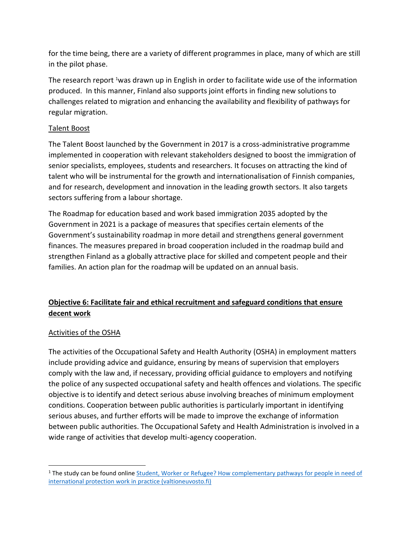for the time being, there are a variety of different programmes in place, many of which are still in the pilot phase.

The research report <sup>1</sup>was drawn up in English in order to facilitate wide use of the information produced. In this manner, Finland also supports joint efforts in finding new solutions to challenges related to migration and enhancing the availability and flexibility of pathways for regular migration.

#### Talent Boost

The Talent Boost launched by the Government in 2017 is a cross-administrative programme implemented in cooperation with relevant stakeholders designed to boost the immigration of senior specialists, employees, students and researchers. It focuses on attracting the kind of talent who will be instrumental for the growth and internationalisation of Finnish companies, and for research, development and innovation in the leading growth sectors. It also targets sectors suffering from a labour shortage.

The Roadmap for education based and work based immigration 2035 adopted by the Government in 2021 is a package of measures that specifies certain elements of the Government's sustainability roadmap in more detail and strengthens general government finances. The measures prepared in broad cooperation included in the roadmap build and strengthen Finland as a globally attractive place for skilled and competent people and their families. An action plan for the roadmap will be updated on an annual basis.

# **Objective 6: Facilitate fair and ethical recruitment and safeguard conditions that ensure decent work**

### Activities of the OSHA

The activities of the Occupational Safety and Health Authority (OSHA) in employment matters include providing advice and guidance, ensuring by means of supervision that employers comply with the law and, if necessary, providing official guidance to employers and notifying the police of any suspected occupational safety and health offences and violations. The specific objective is to identify and detect serious abuse involving breaches of minimum employment conditions. Cooperation between public authorities is particularly important in identifying serious abuses, and further efforts will be made to improve the exchange of information between public authorities. The Occupational Safety and Health Administration is involved in a wide range of activities that develop multi-agency cooperation.

<sup>&</sup>lt;sup>1</sup> The study can be found online Student, Worker or Refugee? How complementary pathways for people in need of international protection [work in practice \(valtioneuvosto.fi\)](https://julkaisut.valtioneuvosto.fi/bitstream/handle/10024/163604/VNTEAS_2021_60.pdf?sequence=1&isAllowed=y)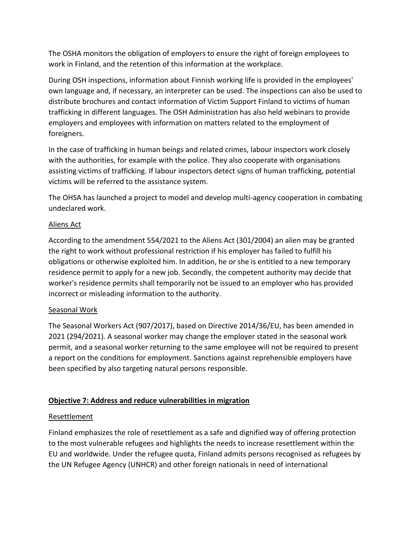The OSHA monitors the obligation of employers to ensure the right of foreign employees to work in Finland, and the retention of this information at the workplace.

During OSH inspections, information about Finnish working life is provided in the employees' own language and, if necessary, an interpreter can be used. The inspections can also be used to distribute brochures and contact information of Victim Support Finland to victims of human trafficking in different languages. The OSH Administration has also held webinars to provide employers and employees with information on matters related to the employment of foreigners.

In the case of trafficking in human beings and related crimes, labour inspectors work closely with the authorities, for example with the police. They also cooperate with organisations assisting victims of trafficking. If labour inspectors detect signs of human trafficking, potential victims will be referred to the assistance system.

The OHSA has launched a project to model and develop multi-agency cooperation in combating undeclared work.

### Aliens Act

According to the amendment 554/2021 to the Aliens Act (301/2004) an alien may be granted the right to work without professional restriction if his employer has failed to fulfill his obligations or otherwise exploited him. In addition, he or she is entitled to a new temporary residence permit to apply for a new job. Secondly, the competent authority may decide that worker's residence permits shall temporarily not be issued to an employer who has provided incorrect or misleading information to the authority.

## Seasonal Work

The Seasonal Workers Act (907/2017), based on Directive 2014/36/EU, has been amended in 2021 (294/2021). A seasonal worker may change the employer stated in the seasonal work permit, and a seasonal worker returning to the same employee will not be required to present a report on the conditions for employment. Sanctions against reprehensible employers have been specified by also targeting natural persons responsible.

## **Objective 7: Address and reduce vulnerabilities in migration**

## Resettlement

Finland emphasizes the role of resettlement as a safe and dignified way of offering protection to the most vulnerable refugees and highlights the needs to increase resettlement within the EU and worldwide. Under the refugee quota, Finland admits persons recognised as refugees by the UN Refugee Agency (UNHCR) and other foreign nationals in need of international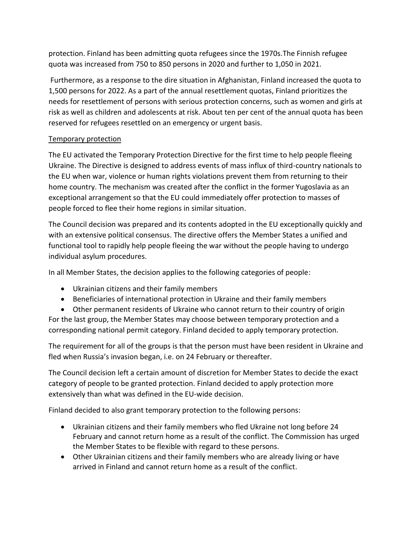protection. Finland has been admitting quota refugees since the 1970s.The Finnish refugee quota was increased from 750 to 850 persons in 2020 and further to 1,050 in 2021.

Furthermore, as a response to the dire situation in Afghanistan, Finland increased the quota to 1,500 persons for 2022. As a part of the annual resettlement quotas, Finland prioritizes the needs for resettlement of persons with serious protection concerns, such as women and girls at risk as well as children and adolescents at risk. About ten per cent of the annual quota has been reserved for refugees resettled on an emergency or urgent basis.

## Temporary protection

The EU activated the Temporary Protection Directive for the first time to help people fleeing Ukraine. The Directive is designed to address events of mass influx of third-country nationals to the EU when war, violence or human rights violations prevent them from returning to their home country. The mechanism was created after the conflict in the former Yugoslavia as an exceptional arrangement so that the EU could immediately offer protection to masses of people forced to flee their home regions in similar situation.

The Council decision was prepared and its contents adopted in the EU exceptionally quickly and with an extensive political consensus. The directive offers the Member States a unified and functional tool to rapidly help people fleeing the war without the people having to undergo individual asylum procedures.

In all Member States, the decision applies to the following categories of people:

- Ukrainian citizens and their family members
- Beneficiaries of international protection in Ukraine and their family members
- Other permanent residents of Ukraine who cannot return to their country of origin

For the last group, the Member States may choose between temporary protection and a corresponding national permit category. Finland decided to apply temporary protection.

The requirement for all of the groups is that the person must have been resident in Ukraine and fled when Russia's invasion began, i.e. on 24 February or thereafter.

The Council decision left a certain amount of discretion for Member States to decide the exact category of people to be granted protection. Finland decided to apply protection more extensively than what was defined in the EU-wide decision.

Finland decided to also grant temporary protection to the following persons:

- Ukrainian citizens and their family members who fled Ukraine not long before 24 February and cannot return home as a result of the conflict. The Commission has urged the Member States to be flexible with regard to these persons.
- Other Ukrainian citizens and their family members who are already living or have arrived in Finland and cannot return home as a result of the conflict.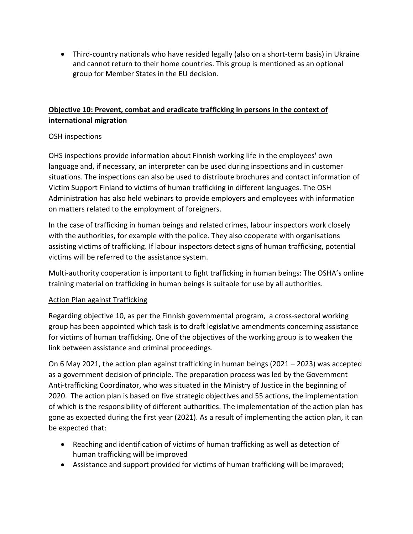• Third-country nationals who have resided legally (also on a short-term basis) in Ukraine and cannot return to their home countries. This group is mentioned as an optional group for Member States in the EU decision.

# **Objective 10: Prevent, combat and eradicate trafficking in persons in the context of international migration**

## OSH inspections

OHS inspections provide information about Finnish working life in the employees' own language and, if necessary, an interpreter can be used during inspections and in customer situations. The inspections can also be used to distribute brochures and contact information of Victim Support Finland to victims of human trafficking in different languages. The OSH Administration has also held webinars to provide employers and employees with information on matters related to the employment of foreigners.

In the case of trafficking in human beings and related crimes, labour inspectors work closely with the authorities, for example with the police. They also cooperate with organisations assisting victims of trafficking. If labour inspectors detect signs of human trafficking, potential victims will be referred to the assistance system.

Multi-authority cooperation is important to fight trafficking in human beings: The OSHA's online training material on trafficking in human beings is suitable for use by all authorities.

### Action Plan against Trafficking

Regarding objective 10, as per the Finnish governmental program, a cross-sectoral working group has been appointed which task is to draft legislative amendments concerning assistance for victims of human trafficking. One of the objectives of the working group is to weaken the link between assistance and criminal proceedings.

On 6 May 2021, the action plan against trafficking in human beings (2021 – 2023) was accepted as a government decision of principle. The preparation process was led by the Government Anti-trafficking Coordinator, who was situated in the Ministry of Justice in the beginning of 2020. The action plan is based on five strategic objectives and 55 actions, the implementation of which is the responsibility of different authorities. The implementation of the action plan has gone as expected during the first year (2021). As a result of implementing the action plan, it can be expected that:

- Reaching and identification of victims of human trafficking as well as detection of human trafficking will be improved
- Assistance and support provided for victims of human trafficking will be improved;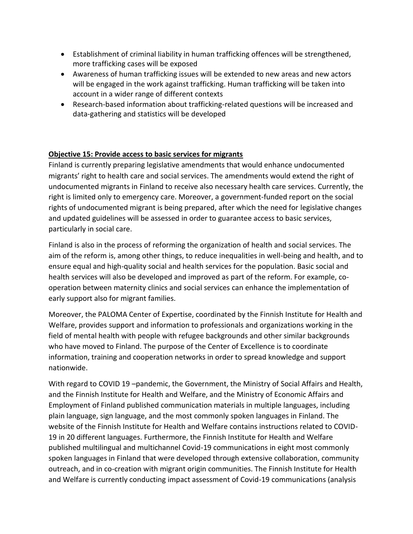- Establishment of criminal liability in human trafficking offences will be strengthened, more trafficking cases will be exposed
- Awareness of human trafficking issues will be extended to new areas and new actors will be engaged in the work against trafficking. Human trafficking will be taken into account in a wider range of different contexts
- Research-based information about trafficking-related questions will be increased and data-gathering and statistics will be developed

### **Objective 15: Provide access to basic services for migrants**

Finland is currently preparing legislative amendments that would enhance undocumented migrants' right to health care and social services. The amendments would extend the right of undocumented migrants in Finland to receive also necessary health care services. Currently, the right is limited only to emergency care. Moreover, a government-funded report on the social rights of undocumented migrant is being prepared, after which the need for legislative changes and updated guidelines will be assessed in order to guarantee access to basic services, particularly in social care.

Finland is also in the process of reforming the organization of health and social services. The aim of the reform is, among other things, to reduce inequalities in well-being and health, and to ensure equal and high-quality social and health services for the population. Basic social and health services will also be developed and improved as part of the reform. For example, cooperation between maternity clinics and social services can enhance the implementation of early support also for migrant families.

Moreover, the PALOMA Center of Expertise, coordinated by the Finnish Institute for Health and Welfare, provides support and information to professionals and organizations working in the field of mental health with people with refugee backgrounds and other similar backgrounds who have moved to Finland. The purpose of the Center of Excellence is to coordinate information, training and cooperation networks in order to spread knowledge and support nationwide.

With regard to COVID 19 –pandemic, the Government, the Ministry of Social Affairs and Health, and the Finnish Institute for Health and Welfare, and the Ministry of Economic Affairs and Employment of Finland published communication materials in multiple languages, including plain language, sign language, and the most commonly spoken languages in Finland. The website of the Finnish Institute for Health and Welfare contains instructions related to COVID-19 in 20 different languages. Furthermore, the Finnish Institute for Health and Welfare published multilingual and multichannel Covid-19 communications in eight most commonly spoken languages in Finland that were developed through extensive collaboration, community outreach, and in co-creation with migrant origin communities. The Finnish Institute for Health and Welfare is currently conducting impact assessment of Covid-19 communications (analysis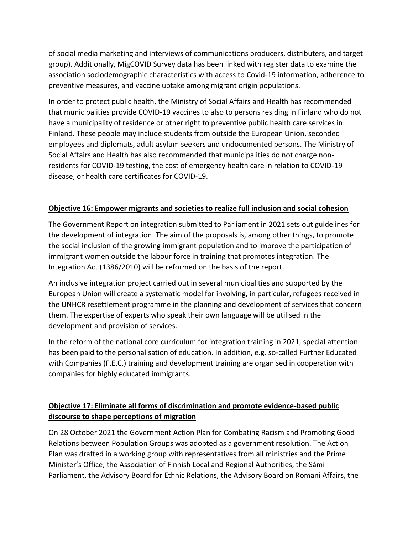of social media marketing and interviews of communications producers, distributers, and target group). Additionally, MigCOVID Survey data has been linked with register data to examine the association sociodemographic characteristics with access to Covid-19 information, adherence to preventive measures, and vaccine uptake among migrant origin populations.

In order to protect public health, the Ministry of Social Affairs and Health has recommended that municipalities provide COVID-19 vaccines to also to persons residing in Finland who do not have a municipality of residence or other right to preventive public health care services in Finland. These people may include students from outside the European Union, seconded employees and diplomats, adult asylum seekers and undocumented persons. The Ministry of Social Affairs and Health has also recommended that municipalities do not charge nonresidents for COVID-19 testing, the cost of emergency health care in relation to COVID-19 disease, or health care certificates for COVID-19.

## **Objective 16: Empower migrants and societies to realize full inclusion and social cohesion**

The Government Report on integration submitted to Parliament in 2021 sets out guidelines for the development of integration. The aim of the proposals is, among other things, to promote the social inclusion of the growing immigrant population and to improve the participation of immigrant women outside the labour force in training that promotes integration. The Integration Act (1386/2010) will be reformed on the basis of the report.

An inclusive integration project carried out in several municipalities and supported by the European Union will create a systematic model for involving, in particular, refugees received in the UNHCR resettlement programme in the planning and development of services that concern them. The expertise of experts who speak their own language will be utilised in the development and provision of services.

In the reform of the national core curriculum for integration training in 2021, special attention has been paid to the personalisation of education. In addition, e.g. so-called Further Educated with Companies (F.E.C.) training and development training are organised in cooperation with companies for highly educated immigrants.

# **Objective 17: Eliminate all forms of discrimination and promote evidence-based public discourse to shape perceptions of migration**

On 28 October 2021 the Government Action Plan for Combating Racism and Promoting Good Relations between Population Groups was adopted as a government resolution. The Action Plan was drafted in a working group with representatives from all ministries and the Prime Minister's Office, the Association of Finnish Local and Regional Authorities, the Sámi Parliament, the Advisory Board for Ethnic Relations, the Advisory Board on Romani Affairs, the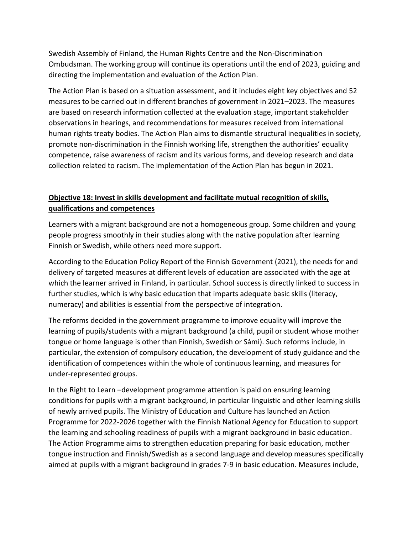Swedish Assembly of Finland, the Human Rights Centre and the Non-Discrimination Ombudsman. The working group will continue its operations until the end of 2023, guiding and directing the implementation and evaluation of the Action Plan.

The Action Plan is based on a situation assessment, and it includes eight key objectives and 52 measures to be carried out in different branches of government in 2021–2023. The measures are based on research information collected at the evaluation stage, important stakeholder observations in hearings, and recommendations for measures received from international human rights treaty bodies. The Action Plan aims to dismantle structural inequalities in society, promote non-discrimination in the Finnish working life, strengthen the authorities' equality competence, raise awareness of racism and its various forms, and develop research and data collection related to racism. The implementation of the Action Plan has begun in 2021.

# **Objective 18: Invest in skills development and facilitate mutual recognition of skills, qualifications and competences**

Learners with a migrant background are not a homogeneous group. Some children and young people progress smoothly in their studies along with the native population after learning Finnish or Swedish, while others need more support.

According to the Education Policy Report of the Finnish Government (2021), the needs for and delivery of targeted measures at different levels of education are associated with the age at which the learner arrived in Finland, in particular. School success is directly linked to success in further studies, which is why basic education that imparts adequate basic skills (literacy, numeracy) and abilities is essential from the perspective of integration.

The reforms decided in the government programme to improve equality will improve the learning of pupils/students with a migrant background (a child, pupil or student whose mother tongue or home language is other than Finnish, Swedish or Sámi). Such reforms include, in particular, the extension of compulsory education, the development of study guidance and the identification of competences within the whole of continuous learning, and measures for under-represented groups.

In the Right to Learn –development programme attention is paid on ensuring learning conditions for pupils with a migrant background, in particular linguistic and other learning skills of newly arrived pupils. The Ministry of Education and Culture has launched an Action Programme for 2022-2026 together with the Finnish National Agency for Education to support the learning and schooling readiness of pupils with a migrant background in basic education. The Action Programme aims to strengthen education preparing for basic education, mother tongue instruction and Finnish/Swedish as a second language and develop measures specifically aimed at pupils with a migrant background in grades 7-9 in basic education. Measures include,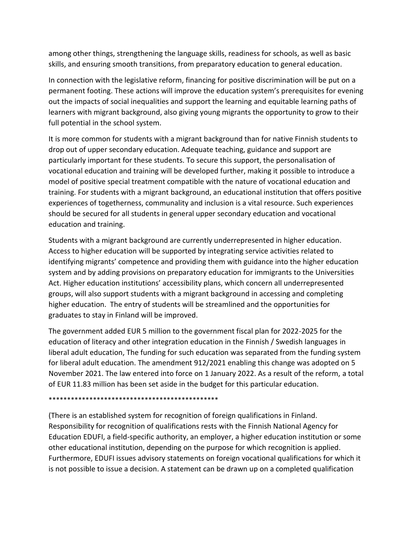among other things, strengthening the language skills, readiness for schools, as well as basic skills, and ensuring smooth transitions, from preparatory education to general education.

In connection with the legislative reform, financing for positive discrimination will be put on a permanent footing. These actions will improve the education system's prerequisites for evening out the impacts of social inequalities and support the learning and equitable learning paths of learners with migrant background, also giving young migrants the opportunity to grow to their full potential in the school system.

It is more common for students with a migrant background than for native Finnish students to drop out of upper secondary education. Adequate teaching, guidance and support are particularly important for these students. To secure this support, the personalisation of vocational education and training will be developed further, making it possible to introduce a model of positive special treatment compatible with the nature of vocational education and training. For students with a migrant background, an educational institution that offers positive experiences of togetherness, communality and inclusion is a vital resource. Such experiences should be secured for all students in general upper secondary education and vocational education and training.

Students with a migrant background are currently underrepresented in higher education. Access to higher education will be supported by integrating service activities related to identifying migrants' competence and providing them with guidance into the higher education system and by adding provisions on preparatory education for immigrants to the Universities Act. Higher education institutions' accessibility plans, which concern all underrepresented groups, will also support students with a migrant background in accessing and completing higher education. The entry of students will be streamlined and the opportunities for graduates to stay in Finland will be improved.

The government added EUR 5 million to the government fiscal plan for 2022-2025 for the education of literacy and other integration education in the Finnish / Swedish languages in liberal adult education, The funding for such education was separated from the funding system for liberal adult education. The amendment 912/2021 enabling this change was adopted on 5 November 2021. The law entered into force on 1 January 2022. As a result of the reform, a total of EUR 11.83 million has been set aside in the budget for this particular education.

\*\*\*\*\*\*\*\*\*\*\*\*\*\*\*\*\*\*\*\*\*\*\*\*\*\*\*\*\*\*\*\*\*\*\*\*\*\*\*\*\*\*\*\*\*\*

(There is an established system for recognition of foreign qualifications in Finland. Responsibility for recognition of qualifications rests with the Finnish National Agency for Education EDUFI, a field-specific authority, an employer, a higher education institution or some other educational institution, depending on the purpose for which recognition is applied. Furthermore, EDUFI issues advisory statements on foreign vocational qualifications for which it is not possible to issue a decision. A statement can be drawn up on a completed qualification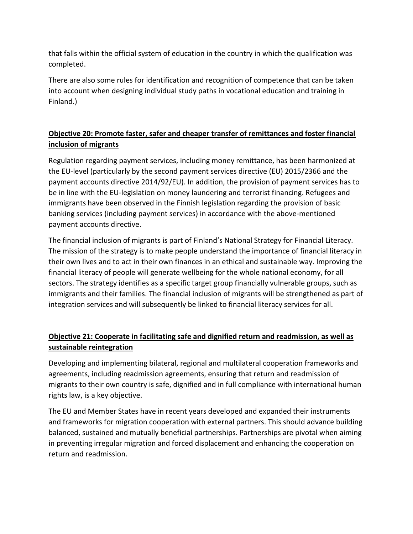that falls within the official system of education in the country in which the qualification was completed.

There are also some rules for identification and recognition of competence that can be taken into account when designing individual study paths in vocational education and training in Finland.)

# **Objective 20: Promote faster, safer and cheaper transfer of remittances and foster financial inclusion of migrants**

Regulation regarding payment services, including money remittance, has been harmonized at the EU-level (particularly by the second payment services directive (EU) 2015/2366 and the payment accounts directive 2014/92/EU). In addition, the provision of payment services has to be in line with the EU-legislation on money laundering and terrorist financing. Refugees and immigrants have been observed in the Finnish legislation regarding the provision of basic banking services (including payment services) in accordance with the above-mentioned payment accounts directive.

The financial inclusion of migrants is part of Finland's National Strategy for Financial Literacy. The mission of the strategy is to make people understand the importance of financial literacy in their own lives and to act in their own finances in an ethical and sustainable way. Improving the financial literacy of people will generate wellbeing for the whole national economy, for all sectors. The strategy identifies as a specific target group financially vulnerable groups, such as immigrants and their families. The financial inclusion of migrants will be strengthened as part of integration services and will subsequently be linked to financial literacy services for all.

# **Objective 21: Cooperate in facilitating safe and dignified return and readmission, as well as sustainable reintegration**

Developing and implementing bilateral, regional and multilateral cooperation frameworks and agreements, including readmission agreements, ensuring that return and readmission of migrants to their own country is safe, dignified and in full compliance with international human rights law, is a key objective.

The EU and Member States have in recent years developed and expanded their instruments and frameworks for migration cooperation with external partners. This should advance building balanced, sustained and mutually beneficial partnerships. Partnerships are pivotal when aiming in preventing irregular migration and forced displacement and enhancing the cooperation on return and readmission.